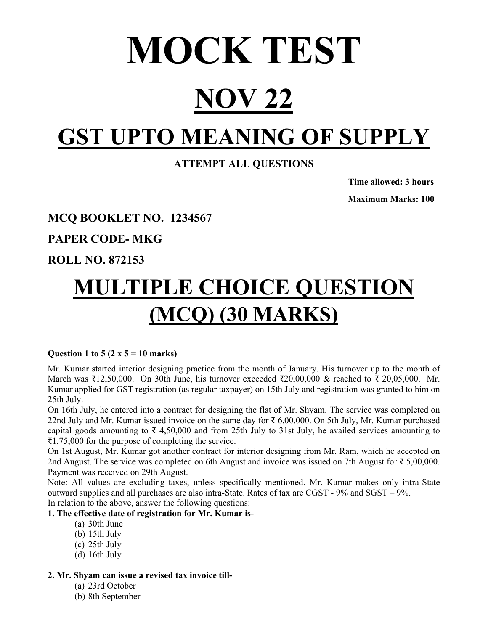# MOCK TEST

## **NOV 22**

## **GST UPTO MEANING OF SUPPLY**

## **ATTEMPT ALL QUESTIONS**

 **Time allowed: 3 hours Maximum Marks: 100** 

## **MCQ BOOKLET NO. 1234567**

**PAPER CODE- MKG** 

## **ROLL NO. 872153**

## **MULTIPLE CHOICE QUESTION (MCQ) (30 MARKS)**

## **Question 1 to 5 (2 x 5 = 10 marks)**

Mr. Kumar started interior designing practice from the month of January. His turnover up to the month of March was ₹12,50,000. On 30th June, his turnover exceeded ₹20,00,000 & reached to ₹ 20,05,000. Mr. Kumar applied for GST registration (as regular taxpayer) on 15th July and registration was granted to him on 25th July.

On 16th July, he entered into a contract for designing the flat of Mr. Shyam. The service was completed on 22nd July and Mr. Kumar issued invoice on the same day for ₹ 6,00,000. On 5th July, Mr. Kumar purchased capital goods amounting to  $\bar{\tau}$  4,50,000 and from 25th July to 31st July, he availed services amounting to ₹1,75,000 for the purpose of completing the service.

On 1st August, Mr. Kumar got another contract for interior designing from Mr. Ram, which he accepted on 2nd August. The service was completed on 6th August and invoice was issued on 7th August for ₹ 5,00,000. Payment was received on 29th August.

Note: All values are excluding taxes, unless specifically mentioned. Mr. Kumar makes only intra-State outward supplies and all purchases are also intra-State. Rates of tax are CGST - 9% and SGST – 9%. In relation to the above, answer the following questions:

## **1. The effective date of registration for Mr. Kumar is-**

- (a) 30th June
- (b) 15th July
- (c) 25th July
- (d) 16th July

## **2. Mr. Shyam can issue a revised tax invoice till-**

- (a) 23rd October
- (b) 8th September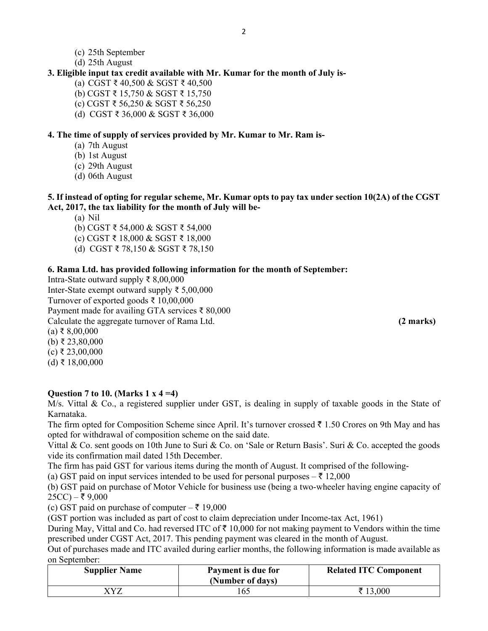- (c) 25th September
- (d) 25th August

#### **3. Eligible input tax credit available with Mr. Kumar for the month of July is-**

- (a) CGST ₹ 40,500 & SGST ₹ 40,500
- (b) CGST ₹ 15,750 & SGST ₹ 15,750
- (c) CGST ₹ 56,250 & SGST ₹ 56,250
- (d) CGST ₹ 36,000 & SGST ₹ 36,000

#### **4. The time of supply of services provided by Mr. Kumar to Mr. Ram is-**

- (a) 7th August
- (b) 1st August
- (c) 29th August
- (d) 06th August

#### **5. If instead of opting for regular scheme, Mr. Kumar opts to pay tax under section 10(2A) of the CGST Act, 2017, the tax liability for the month of July will be-**

(a) Nil

- (b) CGST ₹ 54,000 & SGST ₹ 54,000
- (c) CGST ₹ 18,000 & SGST ₹ 18,000
- (d) CGST ₹ 78,150 & SGST ₹ 78,150

#### **6. Rama Ltd. has provided following information for the month of September:**

Intra-State outward supply ₹ 8,00,000 Inter-State exempt outward supply ₹ 5,00,000 Turnover of exported goods ₹ 10,00,000 Payment made for availing GTA services ₹ 80,000 Calculate the aggregate turnover of Rama Ltd. **(2 marks)**

 $(a)$  ₹ 8,00,000 (b) ₹ 23,80,000

- $(c)$  ₹ 23,00,000
- $(d)$  ₹ 18,00,000

#### **Question 7 to 10. (Marks 1 x 4 =4)**

M/s. Vittal & Co., a registered supplier under GST, is dealing in supply of taxable goods in the State of Karnataka.

The firm opted for Composition Scheme since April. It's turnover crossed  $\bar{\tau}$  1.50 Crores on 9th May and has opted for withdrawal of composition scheme on the said date.

Vittal & Co. sent goods on 10th June to Suri & Co. on 'Sale or Return Basis'. Suri & Co. accepted the goods vide its confirmation mail dated 15th December.

The firm has paid GST for various items during the month of August. It comprised of the following-

(a) GST paid on input services intended to be used for personal purposes  $-\bar{\tau}$  12,000

(b) GST paid on purchase of Motor Vehicle for business use (being a two-wheeler having engine capacity of  $25CC$ ) – ₹ 9,000

(c) GST paid on purchase of computer  $-\bar{\tau}$  19,000

(GST portion was included as part of cost to claim depreciation under Income-tax Act, 1961)

During May, Vittal and Co. had reversed ITC of  $\bar{\tau}$  10,000 for not making payment to Vendors within the time prescribed under CGST Act, 2017. This pending payment was cleared in the month of August.

Out of purchases made and ITC availed during earlier months, the following information is made available as on September:

| <b>Supplier Name</b> | Payment is due for<br>(Number of days) | <b>Related ITC Component</b> |
|----------------------|----------------------------------------|------------------------------|
| VV7                  | .65                                    | ₹ 13,000                     |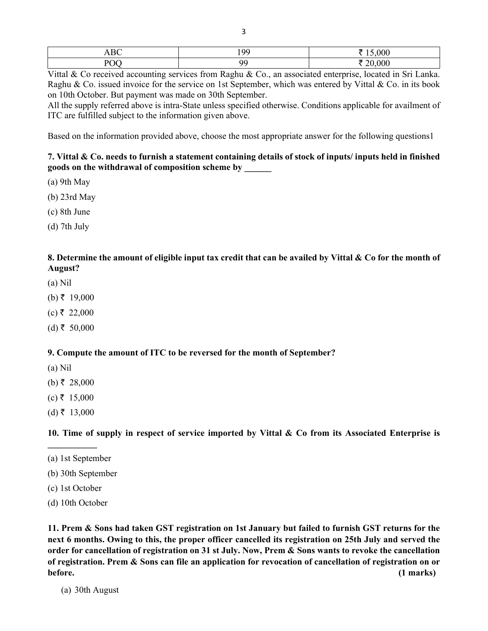|    | $\sim$ | $\sim$ $\sim$ $\sim$ |
|----|--------|----------------------|
| ъ. |        |                      |

Vittal & Co received accounting services from Raghu & Co., an associated enterprise, located in Sri Lanka. Raghu & Co. issued invoice for the service on 1st September, which was entered by Vittal & Co. in its book on 10th October. But payment was made on 30th September.

All the supply referred above is intra-State unless specified otherwise. Conditions applicable for availment of ITC are fulfilled subject to the information given above.

Based on the information provided above, choose the most appropriate answer for the following questions1

#### **7. Vittal & Co. needs to furnish a statement containing details of stock of inputs/ inputs held in finished goods on the withdrawal of composition scheme by \_\_\_\_\_\_**

- (a) 9th May
- (b) 23rd May
- (c) 8th June
- (d) 7th July

#### **8. Determine the amount of eligible input tax credit that can be availed by Vittal & Co for the month of August?**

- (a) Nil
- (b) ₹ 19,000
- $(c)$ ₹ 22,000
- $(d)$ ₹ 50,000

#### **9. Compute the amount of ITC to be reversed for the month of September?**

- (a) Nil
- (b) ₹ 28,000
- $(c) \t{t} 15,000$
- $(d)$  ₹ 13,000

**\_\_\_\_\_\_\_\_\_\_\_** 

**10. Time of supply in respect of service imported by Vittal & Co from its Associated Enterprise is** 

- (a) 1st September
- (b) 30th September
- (c) 1st October
- (d) 10th October

**11. Prem & Sons had taken GST registration on 1st January but failed to furnish GST returns for the next 6 months. Owing to this, the proper officer cancelled its registration on 25th July and served the order for cancellation of registration on 31 st July. Now, Prem & Sons wants to revoke the cancellation of registration. Prem & Sons can file an application for revocation of cancellation of registration on or before. (1 marks)** 

(a) 30th August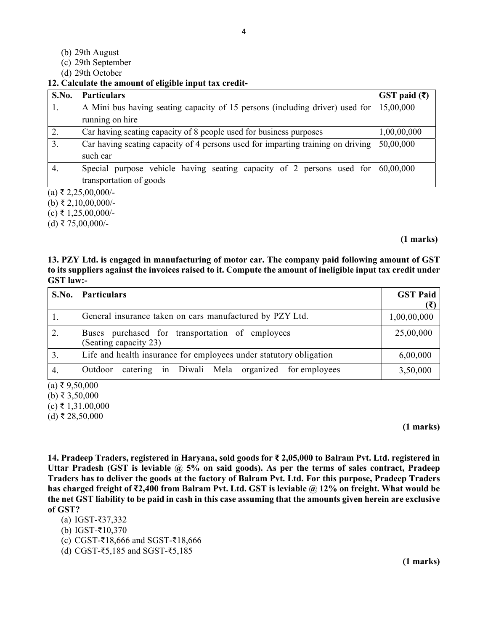- (b) 29th August
- (c) 29th September
- (d) 29th October

#### **12. Calculate the amount of eligible input tax credit-**

| S.No. | <b>Particulars</b>                                                                          | GST paid $(\bar{\mathbf{\mathsf{z}}})$ |
|-------|---------------------------------------------------------------------------------------------|----------------------------------------|
| 1.    | A Mini bus having seating capacity of 15 persons (including driver) used for 15,00,000      |                                        |
|       | running on hire                                                                             |                                        |
| 2.    | Car having seating capacity of 8 people used for business purposes                          | 1,00,00,000                            |
| 3.    | Car having seating capacity of 4 persons used for imparting training on driving             | 50,00,000                              |
|       | such car                                                                                    |                                        |
| 4.    | Special purpose vehicle having seating capacity of 2 persons used for $\mid 60,00,000 \mid$ |                                        |
|       | transportation of goods                                                                     |                                        |

 $(a) \t{5}$  2,25,00,000/-

 $(b)$  ₹ 2,10,00,000/-

 $(c)$  ₹ 1,25,00,000/-

(d) ₹ 75,00,000/-

#### **(1 marks)**

#### **13. PZY Ltd. is engaged in manufacturing of motor car. The company paid following amount of GST to its suppliers against the invoices raised to it. Compute the amount of ineligible input tax credit under GST law:-**

| S.No. | <b>Particulars</b>                                                       | <b>GST Paid</b> |
|-------|--------------------------------------------------------------------------|-----------------|
| 1.    | General insurance taken on cars manufactured by PZY Ltd.                 | 1,00,00,000     |
| 2.    | Buses purchased for transportation of employees<br>(Seating capacity 23) | 25,00,000       |
| 3.    | Life and health insurance for employees under statutory obligation       | 6,00,000        |
| 4.    | catering in Diwali Mela organized for employees<br>Outdoor               | 3,50,000        |

 $(a) \xi$  9,50,000

(b) ₹ 3,50,000

 $(c)$  ₹ 1,31,00,000

(d) ₹ 28,50,000

#### **(1 marks)**

**14. Pradeep Traders, registered in Haryana, sold goods for ₹ 2,05,000 to Balram Pvt. Ltd. registered in Uttar Pradesh (GST is leviable @ 5% on said goods). As per the terms of sales contract, Pradeep Traders has to deliver the goods at the factory of Balram Pvt. Ltd. For this purpose, Pradeep Traders has charged freight of ₹2,400 from Balram Pvt. Ltd. GST is leviable @ 12% on freight. What would be the net GST liability to be paid in cash in this case assuming that the amounts given herein are exclusive of GST?** 

- (a) IGST-₹37,332
- (b) IGST-₹10,370
- (c) CGST-₹18,666 and SGST-₹18,666
- (d) CGST-₹5,185 and SGST-₹5,185

**(1 marks)**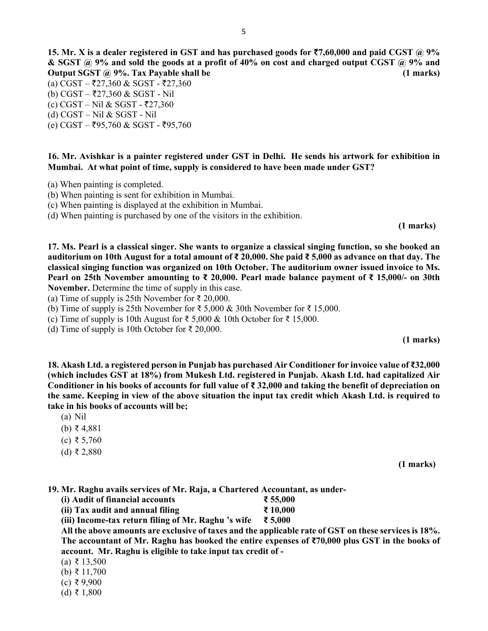**15. Mr. X** is a dealer registered in GST and has purchased goods for  $\overline{57,60,000}$  and paid CGST @ 9% **& SGST @ 9% and sold the goods at a profit of 40% on cost and charged output CGST @ 9% and Output SGST @ 9%. Tax Payable shall be (1 marks)** 

- (a) CGST ₹27,360 & SGST ₹27,360
- (b) CGST ₹27,360 & SGST Nil
- $(c) CGST Nil & SGST ₹27,360$
- (d) CGST Nil & SGST Nil
- $(e)$  CGST ₹95,760 & SGST ₹95,760

**16. Mr. Avishkar is a painter registered under GST in Delhi. He sends his artwork for exhibition in Mumbai. At what point of time, supply is considered to have been made under GST?** 

- (a) When painting is completed.
- (b) When painting is sent for exhibition in Mumbai.
- (c) When painting is displayed at the exhibition in Mumbai.
- (d) When painting is purchased by one of the visitors in the exhibition.

 **(1 marks)** 

**17. Ms. Pearl is a classical singer. She wants to organize a classical singing function, so she booked an auditorium on 10th August for a total amount of ₹ 20,000. She paid ₹ 5,000 as advance on that day. The classical singing function was organized on 10th October. The auditorium owner issued invoice to Ms. Pearl on 25th November amounting to ₹ 20,000. Pearl made balance payment of ₹ 15,000/- on 30th November.** Determine the time of supply in this case.

(a) Time of supply is 25th November for  $\bar{\tau}$  20,000.

(b) Time of supply is 25th November for ₹ 5,000 & 30th November for ₹ 15,000.

(c) Time of supply is 10th August for ₹ 5,000 & 10th October for ₹ 15,000.

(d) Time of supply is 10th October for  $\bar{\tau}$  20,000.

**(1 marks)** 

**18. Akash Ltd. a registered person in Punjab has purchased Air Conditioner for invoice value of ₹32,000 (which includes GST at 18%) from Mukesh Ltd. registered in Punjab. Akash Ltd. had capitalized Air Conditioner in his books of accounts for full value of ₹ 32,000 and taking the benefit of depreciation on the same. Keeping in view of the above situation the input tax credit which Akash Ltd. is required to take in his books of accounts will be;** 

- (a) Nil
- (b) ₹ 4,881
- (c) ₹ 5,760
- (d) ₹ 2,880

**(1 marks)** 

**19. Mr. Raghu avails services of Mr. Raja, a Chartered Accountant, as under-** 

- **(i) Audit of financial accounts ₹ 55,000**
- **(ii) Tax audit and annual filing**  $\bar{\tau}$  **10,000**

**(iii) Income-tax return filing of Mr. Raghu 's wife ₹ 5,000** 

**All the above amounts are exclusive of taxes and the applicable rate of GST on these services is 18%. The accountant of Mr. Raghu has booked the entire expenses of ₹70,000 plus GST in the books of account. Mr. Raghu is eligible to take input tax credit of -** 

- (a) ₹ 13,500
- (b) ₹ 11,700
- (c) ₹ 9,900
- (d) ₹ 1,800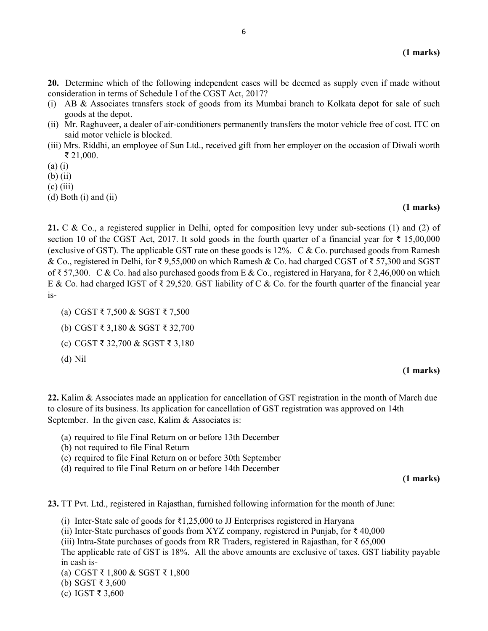**20.** Determine which of the following independent cases will be deemed as supply even if made without consideration in terms of Schedule I of the CGST Act, 2017?

- (i) AB & Associates transfers stock of goods from its Mumbai branch to Kolkata depot for sale of such goods at the depot.
- (ii) Mr. Raghuveer, a dealer of air-conditioners permanently transfers the motor vehicle free of cost. ITC on said motor vehicle is blocked.
- (iii) Mrs. Riddhi, an employee of Sun Ltd., received gift from her employer on the occasion of Diwali worth ₹ 21,000.
- (a) (i)
- (b) (ii)
- $(c)$  (iii)
- (d) Both (i) and (ii)

#### **(1 marks)**

**21.** C & Co., a registered supplier in Delhi, opted for composition levy under sub-sections (1) and (2) of section 10 of the CGST Act, 2017. It sold goods in the fourth quarter of a financial year for  $\bar{\tau}$  15,00,000 (exclusive of GST). The applicable GST rate on these goods is 12%. C & Co. purchased goods from Ramesh & Co., registered in Delhi, for ₹ 9,55,000 on which Ramesh & Co. had charged CGST of ₹ 57,300 and SGST of ₹ 57,300. C & Co. had also purchased goods from E & Co., registered in Haryana, for ₹ 2,46,000 on which E & Co. had charged IGST of  $\bar{\zeta}$  29,520. GST liability of C & Co. for the fourth quarter of the financial year is-

- (a) CGST ₹ 7,500 & SGST ₹ 7,500
- (b) CGST ₹ 3,180 & SGST ₹ 32,700
- (c) CGST ₹ 32,700 & SGST ₹ 3,180
- (d) Nil

#### **(1 marks)**

**22.** Kalim & Associates made an application for cancellation of GST registration in the month of March due to closure of its business. Its application for cancellation of GST registration was approved on 14th September. In the given case, Kalim & Associates is:

- (a) required to file Final Return on or before 13th December
- (b) not required to file Final Return
- (c) required to file Final Return on or before 30th September
- (d) required to file Final Return on or before 14th December

**(1 marks)** 

**23.** TT Pvt. Ltd., registered in Rajasthan, furnished following information for the month of June:

- (i) Inter-State sale of goods for  $\bar{\tau}$ 1,25,000 to JJ Enterprises registered in Haryana
- (ii) Inter-State purchases of goods from XYZ company, registered in Punjab, for ₹ 40,000
- (iii) Intra-State purchases of goods from RR Traders, registered in Rajasthan, for  $\bar{\tau}$  65,000
- The applicable rate of GST is 18%. All the above amounts are exclusive of taxes. GST liability payable in cash is-
- (a) CGST ₹ 1,800 & SGST ₹ 1,800
- (b) SGST ₹ 3,600
- (c) IGST ₹ 3,600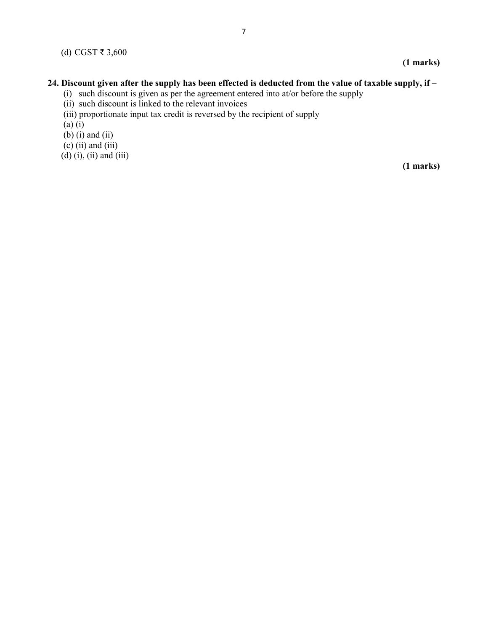### **(1 marks)**

#### **24. Discount given after the supply has been effected is deducted from the value of taxable supply, if –**

- (i) such discount is given as per the agreement entered into at/or before the supply
- (ii) such discount is linked to the relevant invoices
- (iii) proportionate input tax credit is reversed by the recipient of supply
- (a) (i)
- $(b)$  (i) and (ii)
- $(c)$  (ii) and (iii)
- $(d)$  $(i)$ ,  $(ii)$  and  $(iii)$

**(1 marks)**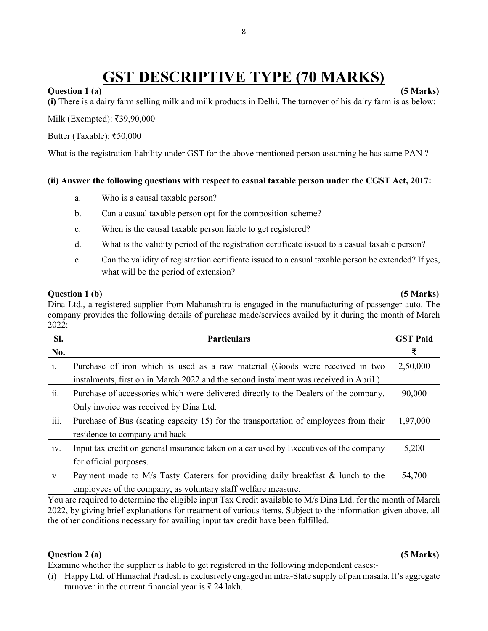## **GST DESCRIPTIVE TYPE (70 MARKS)**

#### **Question 1 (a)** (5 Marks)

**(i)** There is a dairy farm selling milk and milk products in Delhi. The turnover of his dairy farm is as below:

 $Milk$  (Exempted): ₹39,90,000

Butter (Taxable):  $\overline{$}50,000$ 

What is the registration liability under GST for the above mentioned person assuming he has same PAN ?

#### **(ii) Answer the following questions with respect to casual taxable person under the CGST Act, 2017:**

- a. Who is a causal taxable person?
- b. Can a casual taxable person opt for the composition scheme?
- c. When is the causal taxable person liable to get registered?
- d. What is the validity period of the registration certificate issued to a casual taxable person?
- e. Can the validity of registration certificate issued to a casual taxable person be extended? If yes, what will be the period of extension?

#### **Question 1 (b)** (5 Marks)

Dina Ltd., a registered supplier from Maharashtra is engaged in the manufacturing of passenger auto. The company provides the following details of purchase made/services availed by it during the month of March 2022:

| SI.<br>No.   | <b>Particulars</b>                                                                                                                                                   | <b>GST Paid</b><br>₹ |
|--------------|----------------------------------------------------------------------------------------------------------------------------------------------------------------------|----------------------|
| i.           | Purchase of iron which is used as a raw material (Goods were received in two<br>instalments, first on in March 2022 and the second instalment was received in April) | 2,50,000             |
| ii.          | Purchase of accessories which were delivered directly to the Dealers of the company.<br>Only invoice was received by Dina Ltd.                                       | 90,000               |
| iii.         | Purchase of Bus (seating capacity 15) for the transportation of employees from their<br>residence to company and back                                                | 1,97,000             |
| iv.          | Input tax credit on general insurance taken on a car used by Executives of the company<br>for official purposes.                                                     | 5,200                |
| $\mathbf{V}$ | Payment made to M/s Tasty Caterers for providing daily breakfast & lunch to the<br>employees of the company, as voluntary staff welfare measure.                     | 54,700               |

You are required to determine the eligible input Tax Credit available to M/s Dina Ltd. for the month of March 2022, by giving brief explanations for treatment of various items. Subject to the information given above, all the other conditions necessary for availing input tax credit have been fulfilled.

#### **Question 2 (a)** (5 Marks)

Examine whether the supplier is liable to get registered in the following independent cases:-

(i) Happy Ltd. of Himachal Pradesh is exclusively engaged in intra-State supply of pan masala. It's aggregate turnover in the current financial year is  $\bar{\tau}$  24 lakh.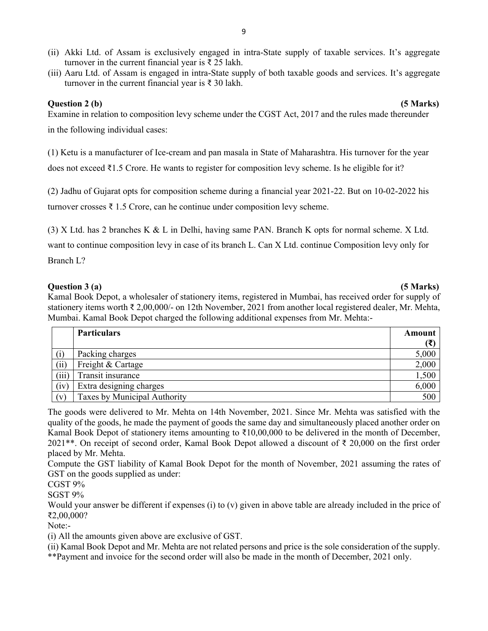- (ii) Akki Ltd. of Assam is exclusively engaged in intra-State supply of taxable services. It's aggregate turnover in the current financial year is  $\bar{\tau}$  25 lakh.
- (iii) Aaru Ltd. of Assam is engaged in intra-State supply of both taxable goods and services. It's aggregate turnover in the current financial year is ₹ 30 lakh.

#### **Question 2 (b) (5 Marks)**

Examine in relation to composition levy scheme under the CGST Act, 2017 and the rules made thereunder in the following individual cases:

(1) Ketu is a manufacturer of Ice-cream and pan masala in State of Maharashtra. His turnover for the year does not exceed ₹1.5 Crore. He wants to register for composition levy scheme. Is he eligible for it?

(2) Jadhu of Gujarat opts for composition scheme during a financial year 2021-22. But on 10-02-2022 his

turnover crosses  $\bar{\tau}$  1.5 Crore, can he continue under composition levy scheme.

(3) X Ltd. has 2 branches K & L in Delhi, having same PAN. Branch K opts for normal scheme. X Ltd.

want to continue composition levy in case of its branch L. Can X Ltd. continue Composition levy only for Branch L?

#### **Question 3 (a) (5 Marks)**

Kamal Book Depot, a wholesaler of stationery items, registered in Mumbai, has received order for supply of stationery items worth ₹ 2,00,000/- on 12th November, 2021 from another local registered dealer, Mr. Mehta, Mumbai. Kamal Book Depot charged the following additional expenses from Mr. Mehta:-

|       | <b>Particulars</b>           | Amount |
|-------|------------------------------|--------|
|       |                              | (₹)    |
|       | Packing charges              | 5,000  |
| (i)   | Freight & Cartage            | 2,000  |
| (iii) | Transit insurance            | 1,500  |
| (iv)  | Extra designing charges      | 6,000  |
| (v)   | Taxes by Municipal Authority | 500    |

The goods were delivered to Mr. Mehta on 14th November, 2021. Since Mr. Mehta was satisfied with the quality of the goods, he made the payment of goods the same day and simultaneously placed another order on Kamal Book Depot of stationery items amounting to ₹10,00,000 to be delivered in the month of December, 2021\*\*. On receipt of second order, Kamal Book Depot allowed a discount of ₹ 20,000 on the first order placed by Mr. Mehta.

Compute the GST liability of Kamal Book Depot for the month of November, 2021 assuming the rates of GST on the goods supplied as under:

CGST 9%

SGST 9%

Would your answer be different if expenses (i) to (y) given in above table are already included in the price of ₹2,00,000?

Note:-

(i) All the amounts given above are exclusive of GST.

(ii) Kamal Book Depot and Mr. Mehta are not related persons and price is the sole consideration of the supply.

\*\*Payment and invoice for the second order will also be made in the month of December, 2021 only.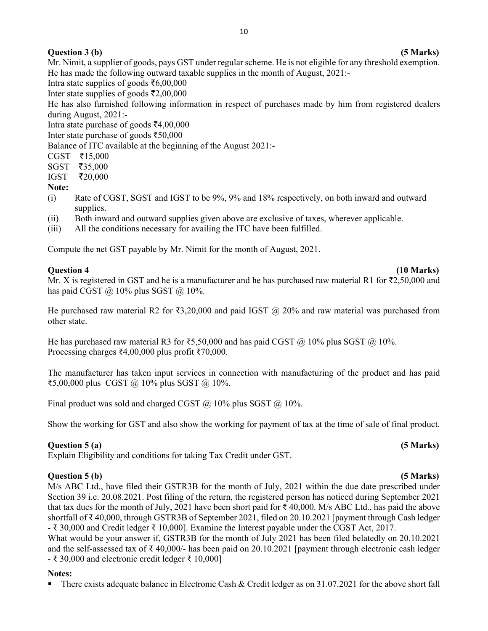## **Question 3 (b)** (5 Marks)

Mr. Nimit, a supplier of goods, pays GST under regular scheme. He is not eligible for any threshold exemption. He has made the following outward taxable supplies in the month of August, 2021:-

Intra state supplies of goods  $\bar{c}6,00,000$ 

Inter state supplies of goods  $\bar{\tau}2,00,000$ 

He has also furnished following information in respect of purchases made by him from registered dealers during August, 2021:-

Intra state purchase of goods  $\text{\textsterling}4,00,000$ 

Inter state purchase of goods  $\text{\textless}50,000$ 

Balance of ITC available at the beginning of the August 2021:-

 $CGST$   $\bar{z}15,000$ 

 $SGST$   $\bar{z}$ 35,000

IGST ₹20,000

#### **Note:**

- (i) Rate of CGST, SGST and IGST to be 9%, 9% and 18% respectively, on both inward and outward supplies.
- (ii) Both inward and outward supplies given above are exclusive of taxes, wherever applicable.
- (iii) All the conditions necessary for availing the ITC have been fulfilled.

Compute the net GST payable by Mr. Nimit for the month of August, 2021.

#### **Question 4 (10 Marks)**

Mr. X is registered in GST and he is a manufacturer and he has purchased raw material R1 for ₹2,50,000 and has paid CGST  $\omega$  10% plus SGST  $\omega$  10%.

He purchased raw material R2 for ₹3,20,000 and paid IGST @ 20% and raw material was purchased from other state.

He has purchased raw material R3 for ₹5,50,000 and has paid CGST  $@$  10% plus SGST  $@$  10%. Processing charges ₹4,00,000 plus profit ₹70,000.

The manufacturer has taken input services in connection with manufacturing of the product and has paid ₹5,00,000 plus CGST @ 10% plus SGST @ 10%.

Final product was sold and charged CGST  $\omega$  10% plus SGST  $\omega$  10%.

Show the working for GST and also show the working for payment of tax at the time of sale of final product.

## **Question 5 (a) (5 Marks)**

Explain Eligibility and conditions for taking Tax Credit under GST.

#### **Question 5 (b) (5 Marks)**

M/s ABC Ltd., have filed their GSTR3B for the month of July, 2021 within the due date prescribed under Section 39 i.e. 20.08.2021. Post filing of the return, the registered person has noticed during September 2021 that tax dues for the month of July, 2021 have been short paid for ₹ 40,000. M/s ABC Ltd., has paid the above shortfall of ₹ 40,000, through GSTR3B of September 2021, filed on 20.10.2021 [payment through Cash ledger - ₹ 30,000 and Credit ledger ₹ 10,000]. Examine the Interest payable under the CGST Act, 2017.

What would be your answer if, GSTR3B for the month of July 2021 has been filed belatedly on 20.10.2021 and the self-assessed tax of  $\bar{\tau}$  40,000/- has been paid on 20.10.2021 [payment through electronic cash ledger  $\overline{\epsilon}$  30,000 and electronic credit ledger  $\overline{\epsilon}$  10,000]

#### **Notes:**

There exists adequate balance in Electronic Cash & Credit ledger as on 31.07.2021 for the above short fall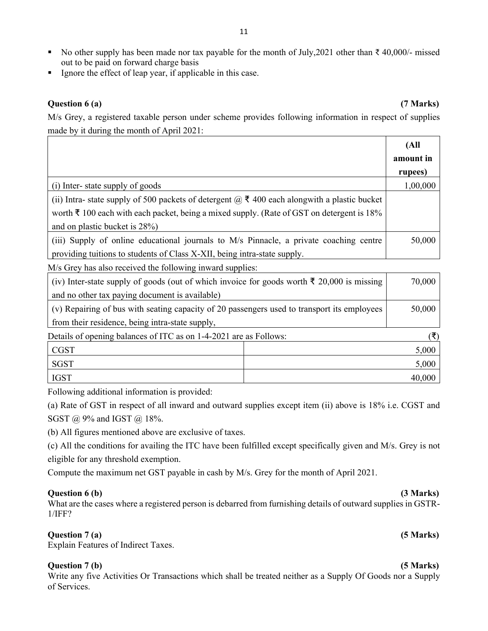- No other supply has been made nor tax payable for the month of July, 2021 other than ₹ 40,000/- missed out to be paid on forward charge basis
- Ignore the effect of leap year, if applicable in this case.

#### **Question 6 (a) (7 Marks)**

M/s Grey, a registered taxable person under scheme provides following information in respect of supplies made by it during the month of April 2021:

|                                                                                                       | (All      |
|-------------------------------------------------------------------------------------------------------|-----------|
|                                                                                                       | amount in |
|                                                                                                       | rupees)   |
| (i) Inter-state supply of goods                                                                       | 1,00,000  |
| (ii) Intra- state supply of 500 packets of detergent $\omega$ ₹ 400 each alongwith a plastic bucket   |           |
| worth $\bar{\tau}$ 100 each with each packet, being a mixed supply. (Rate of GST on detergent is 18%) |           |
| and on plastic bucket is 28%)                                                                         |           |
| (iii) Supply of online educational journals to M/s Pinnacle, a private coaching centre                | 50,000    |
| providing tuitions to students of Class X-XII, being intra-state supply.                              |           |

M/s Grey has also received the following inward supplies:

| (iv) Inter-state supply of goods (out of which invoice for goods worth $\bar{\tau}$ 20,000 is missing |  | 70,000 |
|-------------------------------------------------------------------------------------------------------|--|--------|
| and no other tax paying document is available)                                                        |  |        |
| (v) Repairing of bus with seating capacity of 20 passengers used to transport its employees           |  | 50,000 |
| from their residence, being intra-state supply,                                                       |  |        |
| Details of opening balances of ITC as on 1-4-2021 are as Follows:                                     |  |        |
| <b>CGST</b>                                                                                           |  | 5,000  |
| <b>SGST</b>                                                                                           |  | 5,000  |
| <b>IGST</b>                                                                                           |  | 40,000 |

Following additional information is provided:

(a) Rate of GST in respect of all inward and outward supplies except item (ii) above is 18% i.e. CGST and SGST @ 9% and IGST @ 18%.

(b) All figures mentioned above are exclusive of taxes.

(c) All the conditions for availing the ITC have been fulfilled except specifically given and M/s. Grey is not eligible for any threshold exemption.

Compute the maximum net GST payable in cash by M/s. Grey for the month of April 2021.

#### **Question 6 (b)** (3 Marks)

What are the cases where a registered person is debarred from furnishing details of outward supplies in GSTR-1/IFF?

#### **Question 7 (a) (5 Marks)**

Explain Features of Indirect Taxes.

#### **Question 7 (b) (5 Marks)**

Write any five Activities Or Transactions which shall be treated neither as a Supply Of Goods nor a Supply of Services.